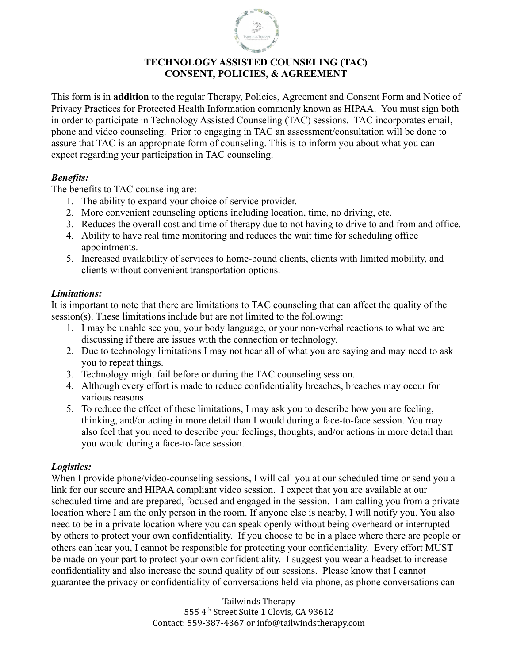

## **TECHNOLOGY ASSISTED COUNSELING (TAC) CONSENT, POLICIES, & AGREEMENT**

This form is in **addition** to the regular Therapy, Policies, Agreement and Consent Form and Notice of Privacy Practices for Protected Health Information commonly known as HIPAA. You must sign both in order to participate in Technology Assisted Counseling (TAC) sessions. TAC incorporates email, phone and video counseling. Prior to engaging in TAC an assessment/consultation will be done to assure that TAC is an appropriate form of counseling. This is to inform you about what you can expect regarding your participation in TAC counseling.

## *Benefits:*

The benefits to TAC counseling are:

- 1. The ability to expand your choice of service provider.
- 2. More convenient counseling options including location, time, no driving, etc.
- 3. Reduces the overall cost and time of therapy due to not having to drive to and from and office.
- 4. Ability to have real time monitoring and reduces the wait time for scheduling office appointments.
- 5. Increased availability of services to home-bound clients, clients with limited mobility, and clients without convenient transportation options.

## *Limitations:*

It is important to note that there are limitations to TAC counseling that can affect the quality of the session(s). These limitations include but are not limited to the following:

- 1. I may be unable see you, your body language, or your non-verbal reactions to what we are discussing if there are issues with the connection or technology.
- 2. Due to technology limitations I may not hear all of what you are saying and may need to ask you to repeat things.
- 3. Technology might fail before or during the TAC counseling session.
- 4. Although every effort is made to reduce confidentiality breaches, breaches may occur for various reasons.
- 5. To reduce the effect of these limitations, I may ask you to describe how you are feeling, thinking, and/or acting in more detail than I would during a face-to-face session. You may also feel that you need to describe your feelings, thoughts, and/or actions in more detail than you would during a face-to-face session.

# *Logistics:*

When I provide phone/video-counseling sessions, I will call you at our scheduled time or send you a link for our secure and HIPAA compliant video session. I expect that you are available at our scheduled time and are prepared, focused and engaged in the session. I am calling you from a private location where I am the only person in the room. If anyone else is nearby, I will notify you. You also need to be in a private location where you can speak openly without being overheard or interrupted by others to protect your own confidentiality. If you choose to be in a place where there are people or others can hear you, I cannot be responsible for protecting your confidentiality. Every effort MUST be made on your part to protect your own confidentiality. I suggest you wear a headset to increase confidentiality and also increase the sound quality of our sessions. Please know that I cannot guarantee the privacy or confidentiality of conversations held via phone, as phone conversations can

> Tailwinds Therapy 555 4 th Street Suite 1 Clovis, CA 93612 Contact: 559-387-4367 or info@tailwindstherapy.com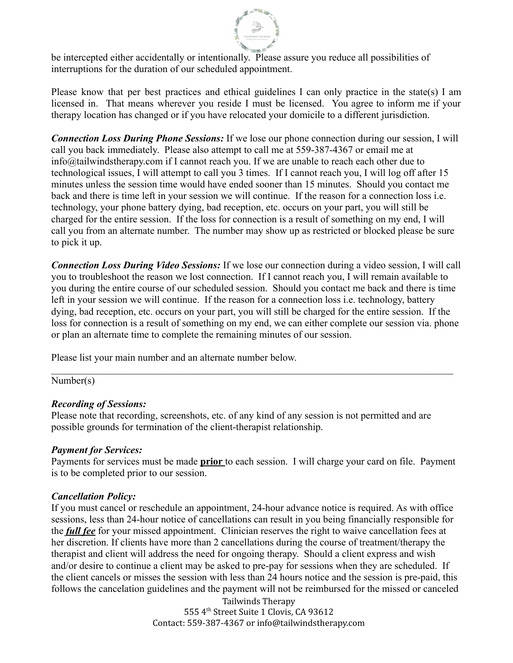

be intercepted either accidentally or intentionally. Please assure you reduce all possibilities of interruptions for the duration of our scheduled appointment.

Please know that per best practices and ethical guidelines I can only practice in the state(s) I am licensed in. That means wherever you reside I must be licensed. You agree to inform me if your therapy location has changed or if you have relocated your domicile to a different jurisdiction.

*Connection Loss During Phone Sessions:* If we lose our phone connection during our session, I will call you back immediately. Please also attempt to call me at 559-387-4367 or email me at info@tailwindstherapy.com if I cannot reach you. If we are unable to reach each other due to technological issues, I will attempt to call you 3 times. If I cannot reach you, I will log off after 15 minutes unless the session time would have ended sooner than 15 minutes. Should you contact me back and there is time left in your session we will continue. If the reason for a connection loss i.e. technology, your phone battery dying, bad reception, etc. occurs on your part, you will still be charged for the entire session. If the loss for connection is a result of something on my end, I will call you from an alternate number. The number may show up as restricted or blocked please be sure to pick it up.

*Connection Loss During Video Sessions:* If we lose our connection during a video session, I will call you to troubleshoot the reason we lost connection. If I cannot reach you, I will remain available to you during the entire course of our scheduled session. Should you contact me back and there is time left in your session we will continue. If the reason for a connection loss i.e. technology, battery dying, bad reception, etc. occurs on your part, you will still be charged for the entire session. If the loss for connection is a result of something on my end, we can either complete our session via. phone or plan an alternate time to complete the remaining minutes of our session.

 $\mathcal{L}_\mathcal{L} = \{ \mathcal{L}_\mathcal{L} = \{ \mathcal{L}_\mathcal{L} = \{ \mathcal{L}_\mathcal{L} = \{ \mathcal{L}_\mathcal{L} = \{ \mathcal{L}_\mathcal{L} = \{ \mathcal{L}_\mathcal{L} = \{ \mathcal{L}_\mathcal{L} = \{ \mathcal{L}_\mathcal{L} = \{ \mathcal{L}_\mathcal{L} = \{ \mathcal{L}_\mathcal{L} = \{ \mathcal{L}_\mathcal{L} = \{ \mathcal{L}_\mathcal{L} = \{ \mathcal{L}_\mathcal{L} = \{ \mathcal{L}_\mathcal{$ 

Please list your main number and an alternate number below.

Number(s)

#### *Recording of Sessions:*

Please note that recording, screenshots, etc. of any kind of any session is not permitted and are possible grounds for termination of the client-therapist relationship.

#### *Payment for Services:*

Payments for services must be made **prior** to each session. I will charge your card on file. Payment is to be completed prior to our session.

#### *Cancellation Policy:*

If you must cancel or reschedule an appointment, 24-hour advance notice is required. As with office sessions, less than 24-hour notice of cancellations can result in you being financially responsible for the *full fee* for your missed appointment. Clinician reserves the right to waive cancellation fees at her discretion. If clients have more than 2 cancellations during the course of treatment/therapy the therapist and client will address the need for ongoing therapy. Should a client express and wish and/or desire to continue a client may be asked to pre-pay for sessions when they are scheduled. If the client cancels or misses the session with less than 24 hours notice and the session is pre-paid, this follows the cancelation guidelines and the payment will not be reimbursed for the missed or canceled

> Tailwinds Therapy 555 4 th Street Suite 1 Clovis, CA 93612 Contact: 559-387-4367 or info@tailwindstherapy.com